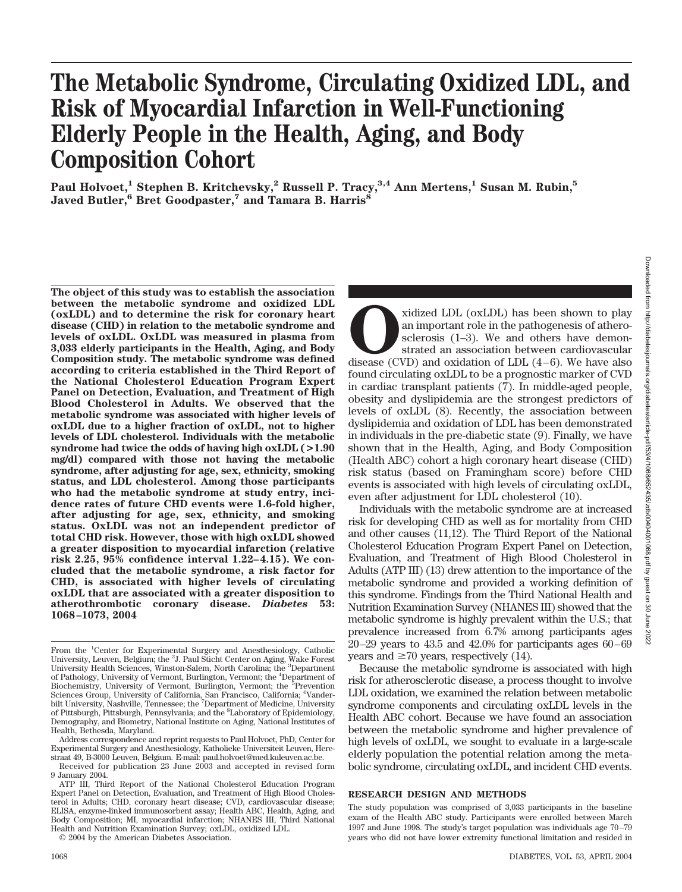# **The Metabolic Syndrome, Circulating Oxidized LDL, and Risk of Myocardial Infarction in Well-Functioning Elderly People in the Health, Aging, and Body Composition Cohort**

**Paul Holvoet,1 Stephen B. Kritchevsky,2 Russell P. Tracy,3,4 Ann Mertens,1 Susan M. Rubin,5 Javed Butler,6 Bret Goodpaster,7 and Tamara B. Harris8**

**The object of this study was to establish the association between the metabolic syndrome and oxidized LDL (oxLDL) and to determine the risk for coronary heart disease (CHD) in relation to the metabolic syndrome and levels of oxLDL. OxLDL was measured in plasma from 3,033 elderly participants in the Health, Aging, and Body Composition study. The metabolic syndrome was defined according to criteria established in the Third Report of the National Cholesterol Education Program Expert Panel on Detection, Evaluation, and Treatment of High Blood Cholesterol in Adults. We observed that the metabolic syndrome was associated with higher levels of oxLDL due to a higher fraction of oxLDL, not to higher levels of LDL cholesterol. Individuals with the metabolic syndrome had twice the odds of having high oxLDL (>1.90 mg/dl) compared with those not having the metabolic syndrome, after adjusting for age, sex, ethnicity, smoking status, and LDL cholesterol. Among those participants who had the metabolic syndrome at study entry, incidence rates of future CHD events were 1.6-fold higher, after adjusting for age, sex, ethnicity, and smoking status. OxLDL was not an independent predictor of total CHD risk. However, those with high oxLDL showed a greater disposition to myocardial infarction (relative risk 2.25, 95% confidence interval 1.22–4.15). We concluded that the metabolic syndrome, a risk factor for CHD, is associated with higher levels of circulating oxLDL that are associated with a greater disposition to atherothrombotic coronary disease.** *Diabetes* **53: 1068–1073, 2004**

xidized LDL (oxLDL) has been shown to play<br>an important role in the pathogenesis of athero-<br>sclerosis (1–3). We and others have demon-<br>strated an association between cardiovascular<br>disease (CVD) and oxidation of LDL (4–6). an important role in the pathogenesis of atherosclerosis (1–3). We and others have demonstrated an association between cardiovascular found circulating oxLDL to be a prognostic marker of CVD in cardiac transplant patients (7). In middle-aged people, obesity and dyslipidemia are the strongest predictors of levels of oxLDL (8). Recently, the association between dyslipidemia and oxidation of LDL has been demonstrated in individuals in the pre-diabetic state (9). Finally, we have shown that in the Health, Aging, and Body Composition (Health ABC) cohort a high coronary heart disease (CHD) risk status (based on Framingham score) before CHD events is associated with high levels of circulating oxLDL, even after adjustment for LDL cholesterol (10).

Individuals with the metabolic syndrome are at increased risk for developing CHD as well as for mortality from CHD and other causes (11,12). The Third Report of the National Cholesterol Education Program Expert Panel on Detection, Evaluation, and Treatment of High Blood Cholesterol in Adults (ATP III) (13) drew attention to the importance of the metabolic syndrome and provided a working definition of this syndrome. Findings from the Third National Health and Nutrition Examination Survey (NHANES III) showed that the metabolic syndrome is highly prevalent within the U.S.; that prevalence increased from 6.7% among participants ages 20–29 years to 43.5 and 42.0% for participants ages 60–69 years and  $\geq 70$  years, respectively (14).

Because the metabolic syndrome is associated with high risk for atherosclerotic disease, a process thought to involve LDL oxidation, we examined the relation between metabolic syndrome components and circulating oxLDL levels in the Health ABC cohort. Because we have found an association between the metabolic syndrome and higher prevalence of high levels of oxLDL, we sought to evaluate in a large-scale elderly population the potential relation among the metabolic syndrome, circulating oxLDL, and incident CHD events.

## **RESEARCH DESIGN AND METHODS**

From the <sup>1</sup>Center for Experimental Surgery and Anesthesiology, Catholic University, Leuven, Belgium; the <sup>2</sup>J. Paul Sticht Center on Aging, Wake Forest University Health Sciences, Winston-Salem, North Carolina; the <sup>3</sup>Department of Pathology, University of Vermont, Burlington, Vermont; the <sup>4</sup> Department of Biochemistry, University of Vermont, Burlington, Vermont; the <sup>5</sup>Prevention Sciences Group, University of California, San Francisco, California; <sup>6</sup>Vanderbilt University, Nashville, Tennessee; the <sup>7</sup>Department of Medicine, University of Pittsburgh, Pittsburgh, Pennsylvania; and the <sup>8</sup>Laboratory of Epidemiology, Demography, and Biometry, National Institute on Aging, National Institutes of Health, Bethesda, Maryland.

Address correspondence and reprint requests to Paul Holvoet, PhD, Center for Experimental Surgery and Anesthesiology, Katholieke Universiteit Leuven, Herestraat 49, B-3000 Leuven, Belgium. E-mail: paul.holvoet@med.kuleuven.ac.be.

Received for publication 23 June 2003 and accepted in revised form 9 January 2004.

ATP III, Third Report of the National Cholesterol Education Program Expert Panel on Detection, Evaluation, and Treatment of High Blood Cholesterol in Adults; CHD, coronary heart disease; CVD, cardiovascular disease; ELISA, enzyme-linked immunosorbent assay; Health ABC, Health, Aging, and Body Composition; MI, myocardial infarction; NHANES III, Third National Health and Nutrition Examination Survey; oxLDL, oxidized LDL.

<sup>© 2004</sup> by the American Diabetes Association.

The study population was comprised of 3,033 participants in the baseline exam of the Health ABC study. Participants were enrolled between March 1997 and June 1998. The study's target population was individuals age 70–79 years who did not have lower extremity functional limitation and resided in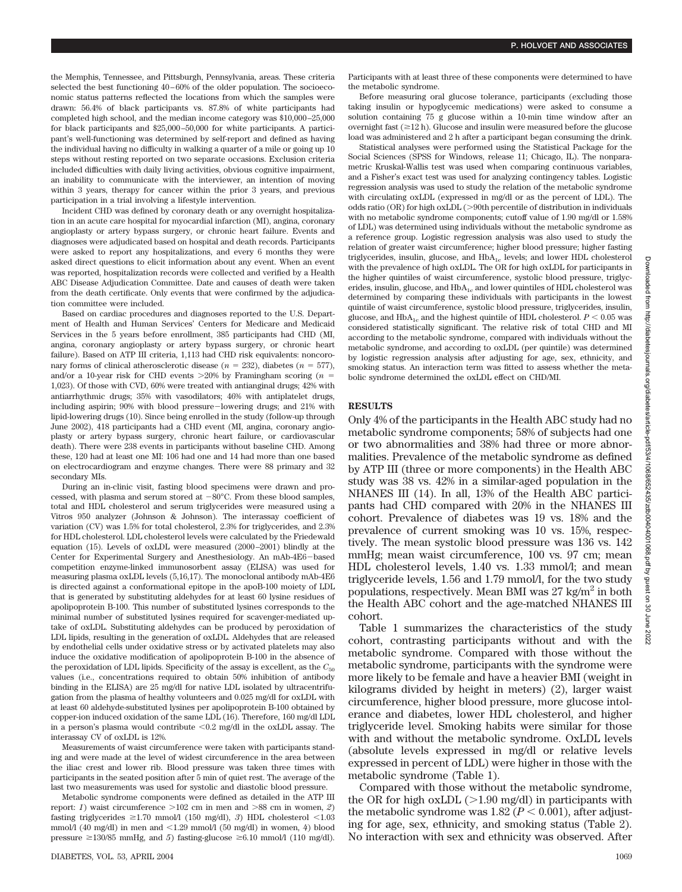the Memphis, Tennessee, and Pittsburgh, Pennsylvania, areas. These criteria selected the best functioning 40–60% of the older population. The socioeconomic status patterns reflected the locations from which the samples were drawn: 56.4% of black participants vs. 87.8% of white participants had completed high school, and the median income category was \$10,000–25,000 for black participants and \$25,000–50,000 for white participants. A participant's well-functioning was determined by self-report and defined as having the individual having no difficulty in walking a quarter of a mile or going up 10 steps without resting reported on two separate occasions. Exclusion criteria included difficulties with daily living activities, obvious cognitive impairment, an inability to communicate with the interviewer, an intention of moving within 3 years, therapy for cancer within the prior 3 years, and previous participation in a trial involving a lifestyle intervention.

Incident CHD was defined by coronary death or any overnight hospitalization in an acute care hospital for myocardial infarction (MI), angina, coronary angioplasty or artery bypass surgery, or chronic heart failure. Events and diagnoses were adjudicated based on hospital and death records. Participants were asked to report any hospitalizations, and every 6 months they were asked direct questions to elicit information about any event. When an event was reported, hospitalization records were collected and verified by a Health ABC Disease Adjudication Committee. Date and causes of death were taken from the death certificate. Only events that were confirmed by the adjudication committee were included.

Based on cardiac procedures and diagnoses reported to the U.S. Department of Health and Human Services' Centers for Medicare and Medicaid Services in the 5 years before enrollment, 385 participants had CHD (MI, angina, coronary angioplasty or artery bypass surgery, or chronic heart failure). Based on ATP III criteria, 1,113 had CHD risk equivalents: noncoronary forms of clinical atherosclerotic disease ( $n = 232$ ), diabetes ( $n = 577$ ), and/or a 10-year risk for CHD events  $>20\%$  by Framingham scoring ( $n =$ 1,023). Of those with CVD, 60% were treated with antianginal drugs; 42% with antiarrhythmic drugs; 35% with vasodilators; 46% with antiplatelet drugs, including aspirin; 90% with blood pressure-lowering drugs; and 21% with lipid-lowering drugs (10). Since being enrolled in the study (follow-up through June 2002), 418 participants had a CHD event (MI, angina, coronary angioplasty or artery bypass surgery, chronic heart failure, or cardiovascular death). There were 238 events in participants without baseline CHD. Among these, 120 had at least one MI: 106 had one and 14 had more than one based on electrocardiogram and enzyme changes. There were 88 primary and 32 secondary MIs.

During an in-clinic visit, fasting blood specimens were drawn and processed, with plasma and serum stored at  $-80^{\circ}$ C. From these blood samples, total and HDL cholesterol and serum triglycerides were measured using a Vitros 950 analyzer (Johnson & Johnson). The interassay coefficient of variation (CV) was 1.5% for total cholesterol, 2.3% for triglycerides, and 2.3% for HDL cholesterol. LDL cholesterol levels were calculated by the Friedewald equation (15). Levels of oxLDL were measured (2000–2001) blindly at the Center for Experimental Surgery and Anesthesiology. An mAb-4E6-based competition enzyme-linked immunosorbent assay (ELISA) was used for measuring plasma oxLDL levels (5,16,17). The monoclonal antibody mAb-4E6 is directed against a conformational epitope in the apoB-100 moiety of LDL that is generated by substituting aldehydes for at least 60 lysine residues of apolipoprotein B-100. This number of substituted lysines corresponds to the minimal number of substituted lysines required for scavenger-mediated uptake of oxLDL. Substituting aldehydes can be produced by peroxidation of LDL lipids, resulting in the generation of oxLDL. Aldehydes that are released by endothelial cells under oxidative stress or by activated platelets may also induce the oxidative modification of apolipoprotein B-100 in the absence of the peroxidation of LDL lipids. Specificity of the assay is excellent, as the  $C_{50}$ values (i.e., concentrations required to obtain 50% inhibition of antibody binding in the ELISA) are 25 mg/dl for native LDL isolated by ultracentrifugation from the plasma of healthy volunteers and 0.025 mg/dl for oxLDL with at least 60 aldehyde-substituted lysines per apolipoprotein B-100 obtained by copper-ion induced oxidation of the same LDL (16). Therefore, 160 mg/dl LDL in a person's plasma would contribute  $\leq 0.2$  mg/dl in the oxLDL assay. The interassay CV of oxLDL is 12%.

Measurements of waist circumference were taken with participants standing and were made at the level of widest circumference in the area between the iliac crest and lower rib. Blood pressure was taken three times with participants in the seated position after 5 min of quiet rest. The average of the last two measurements was used for systolic and diastolic blood pressure.

Metabolic syndrome components were defined as detailed in the ATP III report: *1*) waist circumference  $>102$  cm in men and  $>88$  cm in women, *2*) fasting triglycerides  $\geq 1.70$  mmol/l (150 mg/dl), 3) HDL cholesterol  $\leq 1.03$ mmol/l (40 mg/dl) in men and  $\langle 1.29 \text{ mmol}/\mathrm{l}$  (50 mg/dl) in women, 4) blood pressure  $\geq$ 130/85 mmHg, and 5) fasting-glucose  $\geq$ 6.10 mmol/l (110 mg/dl).

Participants with at least three of these components were determined to have the metabolic syndrome.

Before measuring oral glucose tolerance, participants (excluding those taking insulin or hypoglycemic medications) were asked to consume a solution containing 75 g glucose within a 10-min time window after an overnight fast  $(\geq 12$  h). Glucose and insulin were measured before the glucose load was administered and 2 h after a participant began consuming the drink.

Statistical analyses were performed using the Statistical Package for the Social Sciences (SPSS for Windows, release 11; Chicago, IL). The nonparametric Kruskal-Wallis test was used when comparing continuous variables, and a Fisher's exact test was used for analyzing contingency tables. Logistic regression analysis was used to study the relation of the metabolic syndrome with circulating oxLDL (expressed in mg/dl or as the percent of LDL). The odds ratio (OR) for high oxLDL (>90th percentile of distribution in individuals with no metabolic syndrome components; cutoff value of 1.90 mg/dl or 1.58% of LDL) was determined using individuals without the metabolic syndrome as a reference group. Logistic regression analysis was also used to study the relation of greater waist circumference; higher blood pressure; higher fasting triglycerides, insulin, glucose, and HbA<sub>1c</sub> levels; and lower HDL cholesterol with the prevalence of high oxLDL. The OR for high oxLDL for participants in the higher quintiles of waist circumference, systolic blood pressure, triglycerides, insulin, glucose, and HbA<sub>1c</sub> and lower quintiles of HDL cholesterol was determined by comparing these individuals with participants in the lowest quintile of waist circumference, systolic blood pressure, triglycerides, insulin, glucose, and  $HbA_{1c}$  and the highest quintile of HDL cholesterol.  $P < 0.05$  was considered statistically significant. The relative risk of total CHD and MI according to the metabolic syndrome, compared with individuals without the metabolic syndrome, and according to oxLDL (per quintile) was determined by logistic regression analysis after adjusting for age, sex, ethnicity, and smoking status. An interaction term was fitted to assess whether the metabolic syndrome determined the oxLDL effect on CHD/MI.

### **RESULTS**

Only 4% of the participants in the Health ABC study had no metabolic syndrome components; 58% of subjects had one or two abnormalities and 38% had three or more abnormalities. Prevalence of the metabolic syndrome as defined by ATP III (three or more components) in the Health ABC study was 38 vs. 42% in a similar-aged population in the NHANES III (14). In all, 13% of the Health ABC participants had CHD compared with 20% in the NHANES III cohort. Prevalence of diabetes was 19 vs. 18% and the prevalence of current smoking was 10 vs. 15%, respectively. The mean systolic blood pressure was 136 vs. 142 mmHg; mean waist circumference, 100 vs. 97 cm; mean HDL cholesterol levels, 1.40 vs. 1.33 mmol/l; and mean triglyceride levels, 1.56 and 1.79 mmol/l, for the two study populations, respectively. Mean BMI was  $27 \text{ kg/m}^2$  in both the Health ABC cohort and the age-matched NHANES III cohort.

Table 1 summarizes the characteristics of the study cohort, contrasting participants without and with the metabolic syndrome. Compared with those without the metabolic syndrome, participants with the syndrome were more likely to be female and have a heavier BMI (weight in kilograms divided by height in meters) (2), larger waist circumference, higher blood pressure, more glucose intolerance and diabetes, lower HDL cholesterol, and higher triglyceride level. Smoking habits were similar for those with and without the metabolic syndrome. OxLDL levels (absolute levels expressed in mg/dl or relative levels expressed in percent of LDL) were higher in those with the metabolic syndrome (Table 1).

Compared with those without the metabolic syndrome, the OR for high  $oxLDL$  ( $>1.90$  mg/dl) in participants with the metabolic syndrome was  $1.82 (P < 0.001)$ , after adjusting for age, sex, ethnicity, and smoking status (Table 2). No interaction with sex and ethnicity was observed. After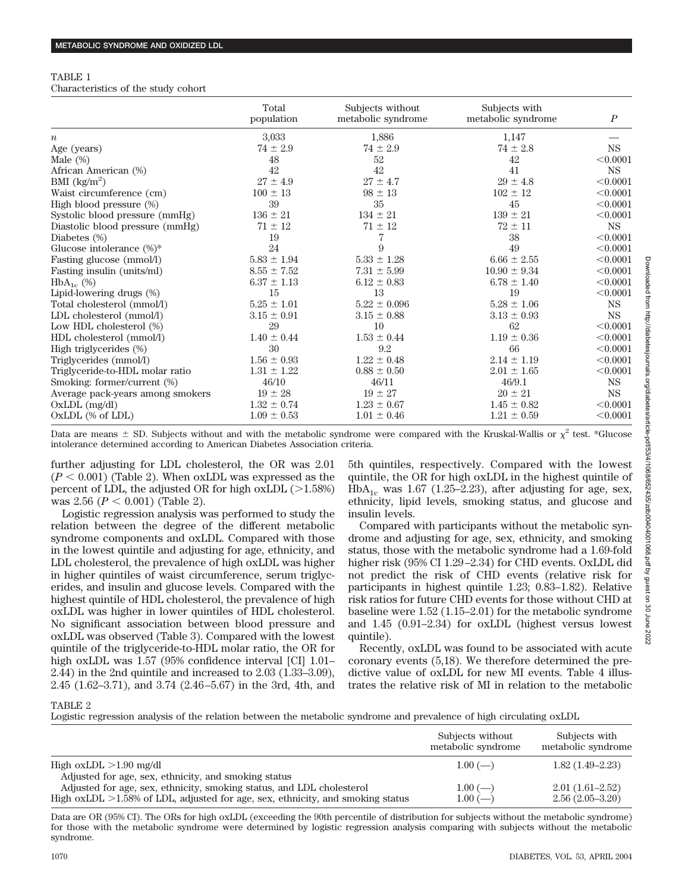| TABLE 1                             |  |  |
|-------------------------------------|--|--|
| Characteristics of the study cohort |  |  |

|                                   | Total<br>population | Subjects without<br>metabolic syndrome | Subjects with<br>metabolic syndrome | $\boldsymbol{P}$ |
|-----------------------------------|---------------------|----------------------------------------|-------------------------------------|------------------|
| $\boldsymbol{n}$                  | 3,033               | 1,886                                  | 1,147                               |                  |
| Age (years)                       | $74 \pm 2.9$        | $74 \pm 2.9$                           | $74 \pm 2.8$                        | $_{\rm NS}$      |
| Male $(\%)$                       | 48                  | 52                                     | 42                                  | < 0.0001         |
| African American (%)              | 42                  | 42                                     | 41                                  | <b>NS</b>        |
| BMI $\left(\frac{kg}{m^2}\right)$ | $27 \pm 4.9$        | $27 \pm 4.7$                           | $29 \pm 4.8$                        | < 0.0001         |
| Waist circumference (cm)          | $100 \pm 13$        | $98 \pm 13$                            | $102 \pm 12$                        | < 0.0001         |
| High blood pressure (%)           | 39                  | 35                                     | 45                                  | < 0.0001         |
| Systolic blood pressure (mmHg)    | $136 \pm 21$        | $134\pm21$                             | $139 \pm 21$                        | < 0.0001         |
| Diastolic blood pressure (mmHg)   | $71 \pm 12$         | $71 \pm 12$                            | $72 \pm 11$                         | <b>NS</b>        |
| Diabetes $(\%)$                   | 19                  | 7                                      | 38                                  | < 0.0001         |
| Glucose intolerance $(\%)^*$      | 24                  | 9                                      | 49                                  | < 0.0001         |
| Fasting glucose (mmol/l)          | $5.83 \pm 1.94$     | $5.33 \pm 1.28$                        | $6.66 \pm 2.55$                     | < 0.0001         |
| Fasting insulin (units/ml)        | $8.55 \pm 7.52$     | $7.31 \pm 5.99$                        | $10.90 \pm 9.34$                    | < 0.0001         |
| $HbA_{1c}$ (%)                    | $6.37 \pm 1.13$     | $6.12 \pm 0.83$                        | $6.78 \pm 1.40$                     | < 0.0001         |
| Lipid-lowering drugs (%)          | 15                  | 13                                     | 19                                  | < 0.0001         |
| Total cholesterol (mmol/l)        | $5.25 \pm 1.01$     | $5.22 \pm 0.096$                       | $5.28 \pm 1.06$                     | <b>NS</b>        |
| LDL cholesterol (mmol/l)          | $3.15 \pm 0.91$     | $3.15 \pm 0.88$                        | $3.13 \pm 0.93$                     | <b>NS</b>        |
| Low HDL cholesterol (%)           | 29                  | 10                                     | 62                                  | < 0.0001         |
| HDL cholesterol (mmol/l)          | $1.40 \pm 0.44$     | $1.53 \pm 0.44$                        | $1.19 \pm 0.36$                     | < 0.0001         |
| High triglycerides (%)            | 30                  | 9.2                                    | 66                                  | < 0.0001         |
| Triglycerides (mmol/l)            | $1.56 \pm 0.93$     | $1.22 \pm 0.48$                        | $2.14 \pm 1.19$                     | < 0.0001         |
| Triglyceride-to-HDL molar ratio   | $1.31 \pm 1.22$     | $0.88 \pm 0.50$                        | $2.01 \pm 1.65$                     | < 0.0001         |
| Smoking: former/current (%)       | 46/10               | 46/11                                  | 46/9.1                              | <b>NS</b>        |
| Average pack-years among smokers  | $19 \pm 28$         | $19 \pm 27$                            | $20 \pm 21$                         | <b>NS</b>        |
| $OxLDL$ (mg/dl)                   | $1.32 \pm 0.74$     | $1.23 \pm 0.67$                        | $1.45 \pm 0.82$                     | < 0.0001         |
| OxLDL (% of LDL)                  | $1.09 \pm 0.53$     | $1.01 \pm 0.46$                        | $1.21 \pm 0.59$                     | < 0.0001         |

Data are means  $\pm$  SD. Subjects without and with the metabolic syndrome were compared with the Kruskal-Wallis or  $\chi^2$  test. \*Glucose intolerance determined according to American Diabetes Association criteria.

further adjusting for LDL cholesterol, the OR was 2.01  $(P < 0.001)$  (Table 2). When oxLDL was expressed as the percent of LDL, the adjusted OR for high  $\text{o} \text{xLDL} (>1.58\%)$ was 2.56 ( $P < 0.001$ ) (Table 2).

Logistic regression analysis was performed to study the relation between the degree of the different metabolic syndrome components and oxLDL. Compared with those in the lowest quintile and adjusting for age, ethnicity, and LDL cholesterol, the prevalence of high oxLDL was higher in higher quintiles of waist circumference, serum triglycerides, and insulin and glucose levels. Compared with the highest quintile of HDL cholesterol, the prevalence of high oxLDL was higher in lower quintiles of HDL cholesterol. No significant association between blood pressure and oxLDL was observed (Table 3). Compared with the lowest quintile of the triglyceride-to-HDL molar ratio, the OR for high oxLDL was 1.57 (95% confidence interval [CI] 1.01– 2.44) in the 2nd quintile and increased to 2.03 (1.33–3.09), 2.45 (1.62–3.71), and 3.74 (2.46–5.67) in the 3rd, 4th, and

5th quintiles, respectively. Compared with the lowest quintile, the OR for high oxLDL in the highest quintile of  $HbA_{1c}$  was 1.67 (1.25–2.23), after adjusting for age, sex, ethnicity, lipid levels, smoking status, and glucose and insulin levels.

Compared with participants without the metabolic syndrome and adjusting for age, sex, ethnicity, and smoking status, those with the metabolic syndrome had a 1.69-fold higher risk (95% CI 1.29–2.34) for CHD events. OxLDL did not predict the risk of CHD events (relative risk for participants in highest quintile 1.23; 0.83–1.82). Relative risk ratios for future CHD events for those without CHD at baseline were 1.52 (1.15–2.01) for the metabolic syndrome and 1.45 (0.91–2.34) for oxLDL (highest versus lowest quintile).

Recently, oxLDL was found to be associated with acute coronary events (5,18). We therefore determined the predictive value of oxLDL for new MI events. Table 4 illustrates the relative risk of MI in relation to the metabolic

TABLE 2

Logistic regression analysis of the relation between the metabolic syndrome and prevalence of high circulating oxLDL

|                                                                                                                                                            | Subjects without<br>metabolic syndrome | Subjects with<br>metabolic syndrome    |
|------------------------------------------------------------------------------------------------------------------------------------------------------------|----------------------------------------|----------------------------------------|
| High oxLDL $>1.90$ mg/dl<br>Adjusted for age, sex, ethnicity, and smoking status                                                                           | $1.00$ (--)                            | $1.82(1.49-2.23)$                      |
| Adjusted for age, sex, ethnicity, smoking status, and LDL cholesterol<br>High oxLDL $>1.58\%$ of LDL, adjusted for age, sex, ethnicity, and smoking status | $1.00$ (--)<br>$1.00$ (-               | $2.01(1.61-2.52)$<br>$2.56(2.05-3.20)$ |

Data are OR (95% CI). The ORs for high oxLDL (exceeding the 90th percentile of distribution for subjects without the metabolic syndrome) for those with the metabolic syndrome were determined by logistic regression analysis comparing with subjects without the metabolic syndrome.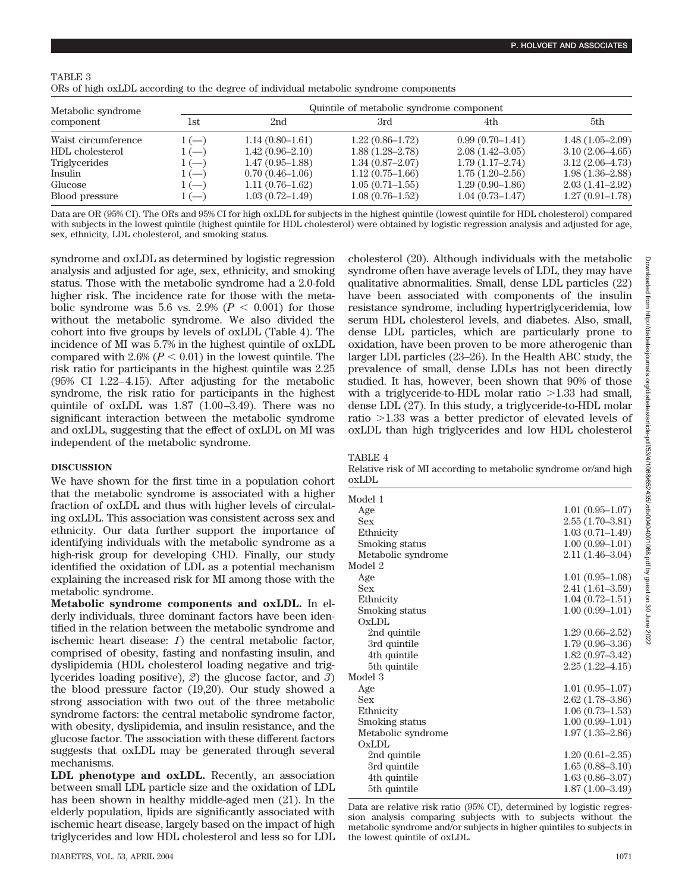# TABLE 3

| ORs of high oxLDL according to the degree of individual metabolic syndrome components |  |  |
|---------------------------------------------------------------------------------------|--|--|
|                                                                                       |  |  |

| Metabolic syndrome<br>component |        | Quintile of metabolic syndrome component |                     |                     |                     |  |
|---------------------------------|--------|------------------------------------------|---------------------|---------------------|---------------------|--|
|                                 | 1st    | 2nd                                      | 3rd                 | 4th                 | 5th                 |  |
| Waist circumference             | $1(-)$ | $1.14(0.80-1.61)$                        | $1.22(0.86-1.72)$   | $0.99(0.70-1.41)$   | $1.48(1.05-2.09)$   |  |
| HDL cholesterol                 | $1(-)$ | $1.42(0.96-2.10)$                        | $1.88(1.28 - 2.78)$ | $2.08(1.42 - 3.05)$ | $3.10(2.06-4.65)$   |  |
| Triglycerides                   | $1(-)$ | $1.47(0.95-1.88)$                        | $1.34(0.87-2.07)$   | $1.79(1.17-2.74)$   | $3.12(2.06-4.73)$   |  |
| Insulin                         | $1(-)$ | $0.70(0.46-1.06)$                        | $1.12(0.75-1.66)$   | $1.75(1.20-2.56)$   | $1.98(1.36-2.88)$   |  |
| Glucose                         | $1(-)$ | $1.11(0.76-1.62)$                        | $1.05(0.71-1.55)$   | $1.29(0.90-1.86)$   | $2.03(1.41 - 2.92)$ |  |
| Blood pressure                  | $1(-)$ | $1.03(0.72 - 1.49)$                      | $1.08(0.76-1.52)$   | $1.04(0.73 - 1.47)$ | $1.27(0.91 - 1.78)$ |  |

Data are OR (95% CI). The ORs and 95% CI for high oxLDL for subjects in the highest quintile (lowest quintile for HDL cholesterol) compared with subjects in the lowest quintile (highest quintile for HDL cholesterol) were obtained by logistic regression analysis and adjusted for age, sex, ethnicity, LDL cholesterol, and smoking status.

syndrome and oxLDL as determined by logistic regression analysis and adjusted for age, sex, ethnicity, and smoking status. Those with the metabolic syndrome had a 2.0-fold higher risk. The incidence rate for those with the metabolic syndrome was 5.6 vs. 2.9% ( $P < 0.001$ ) for those without the metabolic syndrome. We also divided the cohort into five groups by levels of oxLDL (Table 4). The incidence of MI was 5.7% in the highest quintile of oxLDL compared with  $2.6\%$  ( $P < 0.01$ ) in the lowest quintile. The risk ratio for participants in the highest quintile was 2.25 (95% CI 1.22–4.15). After adjusting for the metabolic syndrome, the risk ratio for participants in the highest quintile of oxLDL was 1.87 (1.00–3.49). There was no significant interaction between the metabolic syndrome and oxLDL, suggesting that the effect of oxLDL on MI was independent of the metabolic syndrome.

## **DISCUSSION**

We have shown for the first time in a population cohort that the metabolic syndrome is associated with a higher fraction of oxLDL and thus with higher levels of circulating oxLDL. This association was consistent across sex and ethnicity. Our data further support the importance of identifying individuals with the metabolic syndrome as a high-risk group for developing CHD. Finally, our study identified the oxidation of LDL as a potential mechanism explaining the increased risk for MI among those with the metabolic syndrome.

**Metabolic syndrome components and oxLDL.** In elderly individuals, three dominant factors have been identified in the relation between the metabolic syndrome and ischemic heart disease: *1*) the central metabolic factor, comprised of obesity, fasting and nonfasting insulin, and dyslipidemia (HDL cholesterol loading negative and triglycerides loading positive), *2*) the glucose factor, and *3*) the blood pressure factor (19,20). Our study showed a strong association with two out of the three metabolic syndrome factors: the central metabolic syndrome factor, with obesity, dyslipidemia, and insulin resistance, and the glucose factor. The association with these different factors suggests that oxLDL may be generated through several mechanisms.

**LDL phenotype and oxLDL.** Recently, an association between small LDL particle size and the oxidation of LDL has been shown in healthy middle-aged men (21). In the elderly population, lipids are significantly associated with ischemic heart disease, largely based on the impact of high triglycerides and low HDL cholesterol and less so for LDL cholesterol (20). Although individuals with the metabolic syndrome often have average levels of LDL, they may have qualitative abnormalities. Small, dense LDL particles (22) have been associated with components of the insulin resistance syndrome, including hypertriglyceridemia, low serum HDL cholesterol levels, and diabetes. Also, small, dense LDL particles, which are particularly prone to oxidation, have been proven to be more atherogenic than larger LDL particles (23–26). In the Health ABC study, the prevalence of small, dense LDLs has not been directly studied. It has, however, been shown that 90% of those with a triglyceride-to-HDL molar ratio  $>1.33$  had small, dense LDL (27). In this study, a triglyceride-to-HDL molar ratio -1.33 was a better predictor of elevated levels of oxLDL than high triglycerides and low HDL cholesterol

Relative risk of MI according to metabolic syndrome or/and high oxLDL

| Model 1            |                     |
|--------------------|---------------------|
| Age                | $1.01(0.95-1.07)$   |
| <b>Sex</b>         | $2.55(1.70-3.81)$   |
| Ethnicity          | $1.03(0.71 - 1.49)$ |
| Smoking status     | $1.00(0.99-1.01)$   |
| Metabolic syndrome | $2.11(1.46-3.04)$   |
| Model 2            |                     |
| Age                | $1.01(0.95-1.08)$   |
| <b>Sex</b>         | $2.41(1.61 - 3.59)$ |
| Ethnicity          | $1.04(0.72 - 1.51)$ |
| Smoking status     | $1.00(0.99-1.01)$   |
| <b>OxLDL</b>       |                     |
| 2nd quintile       | $1.29(0.66 - 2.52)$ |
| 3rd quintile       | $1.79(0.96 - 3.36)$ |
| 4th quintile       | $1.82(0.97-3.42)$   |
| 5th quintile       | $2.25(1.22 - 4.15)$ |
| Model 3            |                     |
| Age                | $1.01(0.95-1.07)$   |
| <b>Sex</b>         | $2.62(1.78-3.86)$   |
| Ethnicity          | $1.06(0.73-1.53)$   |
| Smoking status     | $1.00(0.99-1.01)$   |
| Metabolic syndrome | $1.97(1.35 - 2.86)$ |
| OxLDL              |                     |
| 2nd quintile       | $1.20(0.61 - 2.35)$ |
| 3rd quintile       | $1.65(0.88 - 3.10)$ |
| 4th quintile       | $1.63(0.86 - 3.07)$ |
| 5th quintile       | $1.87(1.00-3.49)$   |

Data are relative risk ratio (95% CI), determined by logistic regression analysis comparing subjects with to subjects without the metabolic syndrome and/or subjects in higher quintiles to subjects in the lowest quintile of oxLDL.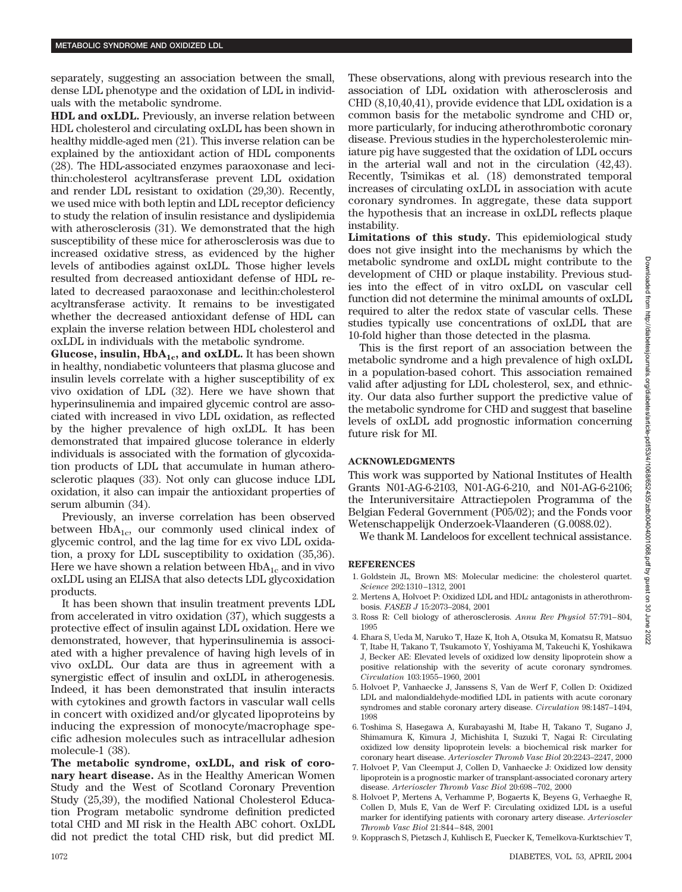separately, suggesting an association between the small, dense LDL phenotype and the oxidation of LDL in individuals with the metabolic syndrome.

**HDL and oxLDL.** Previously, an inverse relation between HDL cholesterol and circulating oxLDL has been shown in healthy middle-aged men (21). This inverse relation can be explained by the antioxidant action of HDL components (28). The HDL-associated enzymes paraoxonase and lecithin:cholesterol acyltransferase prevent LDL oxidation and render LDL resistant to oxidation (29,30). Recently, we used mice with both leptin and LDL receptor deficiency to study the relation of insulin resistance and dyslipidemia with atherosclerosis (31). We demonstrated that the high susceptibility of these mice for atherosclerosis was due to increased oxidative stress, as evidenced by the higher levels of antibodies against oxLDL. Those higher levels resulted from decreased antioxidant defense of HDL related to decreased paraoxonase and lecithin:cholesterol acyltransferase activity. It remains to be investigated whether the decreased antioxidant defense of HDL can explain the inverse relation between HDL cholesterol and oxLDL in individuals with the metabolic syndrome.

**Glucose, insulin, HbA<sub>1c</sub>, and oxLDL.** It has been shown in healthy, nondiabetic volunteers that plasma glucose and insulin levels correlate with a higher susceptibility of ex vivo oxidation of LDL (32). Here we have shown that hyperinsulinemia and impaired glycemic control are associated with increased in vivo LDL oxidation, as reflected by the higher prevalence of high oxLDL. It has been demonstrated that impaired glucose tolerance in elderly individuals is associated with the formation of glycoxidation products of LDL that accumulate in human atherosclerotic plaques (33). Not only can glucose induce LDL oxidation, it also can impair the antioxidant properties of serum albumin (34).

Previously, an inverse correlation has been observed between  $HbA_{1c}$ , our commonly used clinical index of glycemic control, and the lag time for ex vivo LDL oxidation, a proxy for LDL susceptibility to oxidation (35,36). Here we have shown a relation between  $HbA_{1c}$  and in vivo oxLDL using an ELISA that also detects LDL glycoxidation products.

It has been shown that insulin treatment prevents LDL from accelerated in vitro oxidation (37), which suggests a protective effect of insulin against LDL oxidation. Here we demonstrated, however, that hyperinsulinemia is associated with a higher prevalence of having high levels of in vivo oxLDL. Our data are thus in agreement with a synergistic effect of insulin and oxLDL in atherogenesis. Indeed, it has been demonstrated that insulin interacts with cytokines and growth factors in vascular wall cells in concert with oxidized and/or glycated lipoproteins by inducing the expression of monocyte/macrophage specific adhesion molecules such as intracellular adhesion molecule-1 (38).

**The metabolic syndrome, oxLDL, and risk of coronary heart disease.** As in the Healthy American Women Study and the West of Scotland Coronary Prevention Study (25,39), the modified National Cholesterol Education Program metabolic syndrome definition predicted total CHD and MI risk in the Health ABC cohort. OxLDL did not predict the total CHD risk, but did predict MI.

These observations, along with previous research into the association of LDL oxidation with atherosclerosis and CHD (8,10,40,41), provide evidence that LDL oxidation is a common basis for the metabolic syndrome and CHD or, more particularly, for inducing atherothrombotic coronary disease. Previous studies in the hypercholesterolemic miniature pig have suggested that the oxidation of LDL occurs in the arterial wall and not in the circulation (42,43). Recently, Tsimikas et al. (18) demonstrated temporal increases of circulating oxLDL in association with acute coronary syndromes. In aggregate, these data support the hypothesis that an increase in oxLDL reflects plaque instability.

**Limitations of this study.** This epidemiological study does not give insight into the mechanisms by which the metabolic syndrome and oxLDL might contribute to the development of CHD or plaque instability. Previous studies into the effect of in vitro oxLDL on vascular cell function did not determine the minimal amounts of oxLDL required to alter the redox state of vascular cells. These studies typically use concentrations of oxLDL that are 10-fold higher than those detected in the plasma.

This is the first report of an association between the metabolic syndrome and a high prevalence of high oxLDL in a population-based cohort. This association remained valid after adjusting for LDL cholesterol, sex, and ethnicity. Our data also further support the predictive value of the metabolic syndrome for CHD and suggest that baseline levels of oxLDL add prognostic information concerning future risk for MI.

# **ACKNOWLEDGMENTS**

This work was supported by National Institutes of Health Grants N01-AG-6-2103, N01-AG-6-210, and N01-AG-6-2106; the Interuniversitaire Attractiepolen Programma of the Belgian Federal Government (P05/02); and the Fonds voor Wetenschappelijk Onderzoek-Vlaanderen (G.0088.02).

We thank M. Landeloos for excellent technical assistance.

### **REFERENCES**

- 1. Goldstein JL, Brown MS: Molecular medicine: the cholesterol quartet. *Science* 292:1310–1312, 2001
- 2. Mertens A, Holvoet P: Oxidized LDL and HDL: antagonists in atherothrombosis. *FASEB J* 15:2073–2084, 2001
- 3. Ross R: Cell biology of atherosclerosis. *Annu Rev Physiol* 57:791–804, 1995
- 4. Ehara S, Ueda M, Naruko T, Haze K, Itoh A, Otsuka M, Komatsu R, Matsuo T, Itabe H, Takano T, Tsukamoto Y, Yoshiyama M, Takeuchi K, Yoshikawa J, Becker AE: Elevated levels of oxidized low density lipoprotein show a positive relationship with the severity of acute coronary syndromes. *Circulation* 103:1955–1960, 2001
- 5. Holvoet P, Vanhaecke J, Janssens S, Van de Werf F, Collen D: Oxidized LDL and malondialdehyde-modified LDL in patients with acute coronary syndromes and stable coronary artery disease. *Circulation* 98:1487–1494, 1998
- 6. Toshima S, Hasegawa A, Kurabayashi M, Itabe H, Takano T, Sugano J, Shimamura K, Kimura J, Michishita I, Suzuki T, Nagai R: Circulating oxidized low density lipoprotein levels: a biochemical risk marker for coronary heart disease. *Arterioscler Thromb Vasc Biol* 20:2243–2247, 2000
- 7. Holvoet P, Van Cleemput J, Collen D, Vanhaecke J: Oxidized low density lipoprotein is a prognostic marker of transplant-associated coronary artery disease. *Arterioscler Thromb Vasc Biol* 20:698–702, 2000
- 8. Holvoet P, Mertens A, Verhamme P, Bogaerts K, Beyens G, Verhaeghe R, Collen D, Muls E, Van de Werf F: Circulating oxidized LDL is a useful marker for identifying patients with coronary artery disease. *Arterioscler Thromb Vasc Biol* 21:844–848, 2001
- 9. Kopprasch S, Pietzsch J, Kuhlisch E, Fuecker K, Temelkova-Kurktschiev T,